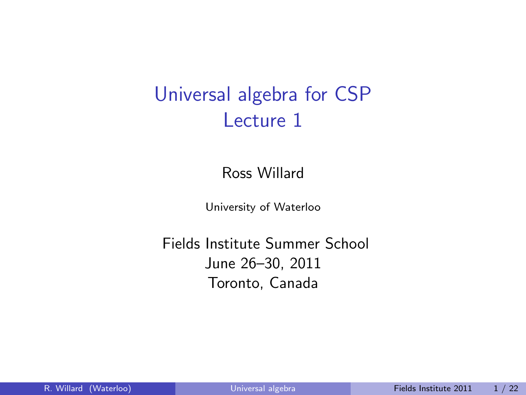# Universal algebra for CSP Lecture 1

Ross Willard

<span id="page-0-0"></span>University of Waterloo

Fields Institute Summer School June 26–30, 2011 Toronto, Canada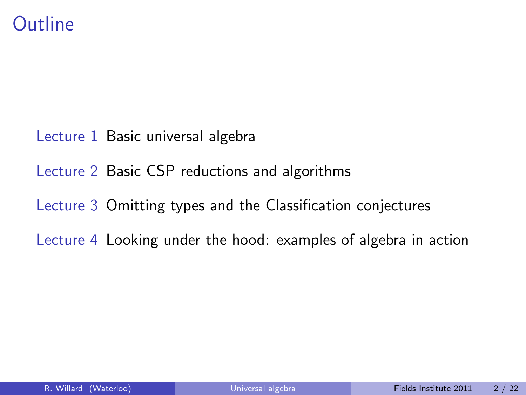### **Outline**

- Lecture 1 Basic universal algebra
- Lecture 2 Basic CSP reductions and algorithms
- Lecture 3 Omitting types and the Classification conjectures
- Lecture 4 Looking under the hood: examples of algebra in action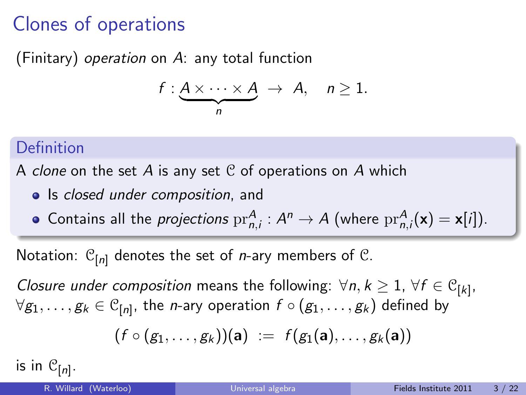# Clones of operations

(Finitary) operation on A: any total function

$$
f:\underbrace{A\times\cdots\times A}_{n}\rightarrow A, \quad n\geq 1.
$$

#### **Definition**

A clone on the set A is any set  $C$  of operations on A which

- Is closed under composition, and
- Contains all the *projections*  $pr_{n,i}^A : A^n \to A$  (where  $pr_{n,i}^A(\mathbf{x}) = \mathbf{x}[i]).$

Notation:  $C_{[n]}$  denotes the set of *n*-ary members of C.

Closure under composition means the following:  $\forall n, k \geq 1, \forall f \in \mathcal{C}_{[k]}$ ,  $\forall g_1,\ldots,g_k\in\mathbb{C}_{[n]}$ , the *n*-ary operation  $f\circ (g_1,\ldots,g_k)$  defined by

$$
\big(f\circ (g_1,\ldots,g_k)\big)(\textbf{a})\ :=\ f\big(g_1(\textbf{a}),\ldots,g_k(\textbf{a})\big)
$$

is in  $\mathcal{C}_{[n]}.$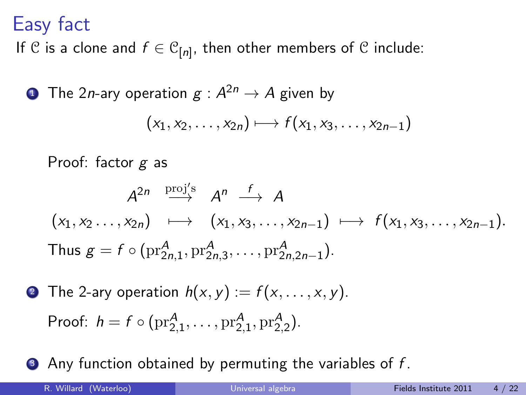## Easy fact

If  $\mathcal C$  is a clone and  $f\in \mathcal C_{[n]},$  then other members of  $\mathcal C$  include:

 $\textbf{1}$  The 2*n*-ary operation  $g: A^{2n} \rightarrow A$  given by

$$
(x_1,x_2,\ldots,x_{2n})\longmapsto f(x_1,x_3,\ldots,x_{2n-1})
$$

Proof: factor  $g$  as

$$
A^{2n} \xrightarrow{\text{proj}'s} A^n \xrightarrow{f} A
$$
  
\n
$$
(x_1, x_2 \dots, x_{2n}) \longmapsto (x_1, x_3, \dots, x_{2n-1}) \longmapsto f(x_1, x_3, \dots, x_{2n-1}).
$$
  
\nThus  $g = f \circ (\text{pr}_{2n,1}^A, \text{pr}_{2n,3}^A, \dots, \text{pr}_{2n,2n-1}^A).$ 

**2** The 2-ary operation  $h(x, y) := f(x, \ldots, x, y)$ . Proof:  $h = f \circ (\text{pr}_{2,1}^A, \dots, \text{pr}_{2,1}^A, \text{pr}_{2,2}^A)$ .

 $\bullet$  Any function obtained by permuting the variables of f.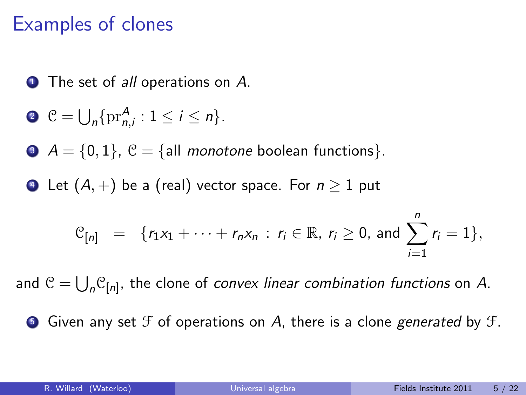### Examples of clones

**1** The set of *all* operations on A.

$$
\bullet \ \mathcal{C}=\bigcup_n\{\mathrm{pr}_{n,i}^A:1\leq i\leq n\}.
$$

 $\bullet$   $A = \{0, 1\}, \mathcal{C} = \{all \ monotone boolean functions\}.$ 

 $\bullet$  Let  $(A,+)$  be a (real) vector space. For  $n \geq 1$  put

$$
\mathcal{C}_{[n]} = \{r_1x_1 + \cdots + r_nx_n : r_i \in \mathbb{R}, r_i \ge 0, \text{ and } \sum_{i=1}^n r_i = 1\},\
$$

and  $\mathcal{C} = \bigcup_n \mathcal{C}_{[n]}$ , the clone of *convex linear combination functions* on  $A$ .

**•** Given any set  $\mathcal F$  of operations on A, there is a clone *generated* by  $\mathcal F$ .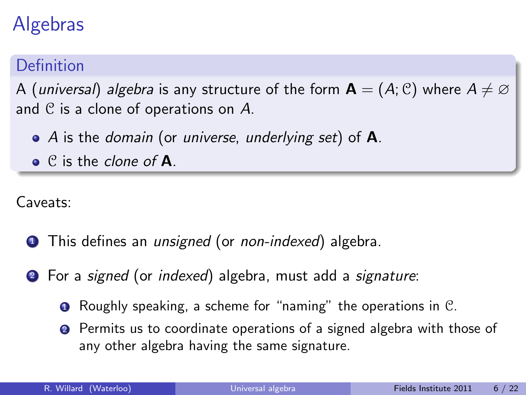# Algebras

### Definition

A (universal) algebra is any structure of the form  $A = (A, C)$  where  $A \neq \emptyset$ and  $\mathfrak C$  is a clone of operations on  $A$ .

- $\bullet$  A is the *domain* (or *universe*, *underlying set*) of **A**.
- $\bullet$  C is the clone of **A**.

Caveats:

- **1** This defines an *unsigned* (or *non-indexed*) algebra.
- <sup>2</sup> For a signed (or indexed) algebra, must add a signature:
	- **1** Roughly speaking, a scheme for "naming" the operations in C.
	- **2** Permits us to coordinate operations of a signed algebra with those of any other algebra having the same signature.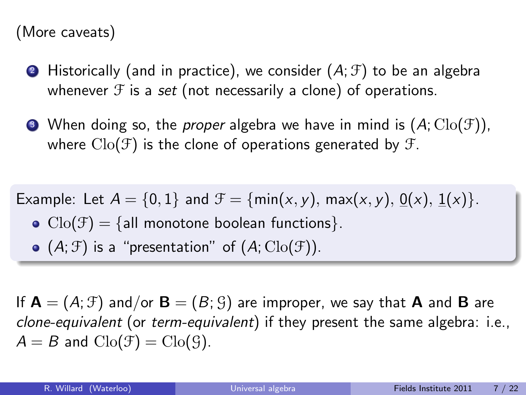#### (More caveats)

- **2** Historically (and in practice), we consider  $(A; \mathcal{F})$  to be an algebra whenever  $\mathcal F$  is a set (not necessarily a clone) of operations.
- $\bullet$  When doing so, the *proper* algebra we have in mind is  $(A; \text{Clo}(\mathcal{F}))$ , where  $\text{Cl}_0(\mathcal{F})$  is the clone of operations generated by  $\mathcal{F}$ .

Example: Let  $A = \{0, 1\}$  and  $\mathcal{F} = \{\min(x, y), \max(x, y), 0(x), 1(x)\}.$ 

- $Clo(\mathcal{F}) = \{ \text{all monotone boolean functions} \}.$
- $\bullet$   $(A; \mathcal{F})$  is a "presentation" of  $(A; \text{Clo}(\mathcal{F}))$ .

If  $A = (A; \mathcal{F})$  and/or  $B = (B; \mathcal{G})$  are improper, we say that A and B are clone-equivalent (or term-equivalent) if they present the same algebra: i.e.,  $A = B$  and  $Clo(\mathcal{F}) = Clo(\mathcal{G})$ .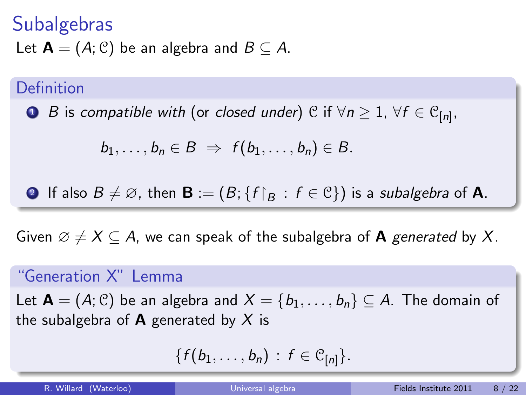### **Subalgebras** Let  $\mathbf{A} = (A; \mathcal{C})$  be an algebra and  $B \subseteq A$ .

#### Definition

 $\textsf{D}$   $\textsf{B}$  is compatible with (or closed under)  $\textsf{C}$  if  $\forall n\geq 1, \ \forall f\in \textsf{C}_{[n]} ,$ 

$$
b_1,\ldots,b_n\in B \;\Rightarrow\; f(b_1,\ldots,b_n)\in B.
$$

**Q** If also 
$$
B \neq \emptyset
$$
, then **B** :=  $(B; \{f|_B : f \in \mathbb{C}\})$  is a subalgebra of **A**.

Given  $\emptyset \neq X \subseteq A$ , we can speak of the subalgebra of **A** generated by X.

#### "Generation X" Lemma

Let  $A = (A; \mathcal{C})$  be an algebra and  $X = \{b_1, \ldots, b_n\} \subseteq A$ . The domain of the subalgebra of **A** generated by X is

$$
\{f(b_1,\ldots,b_n)\,:\,f\in\mathcal{C}_{[n]}\}.
$$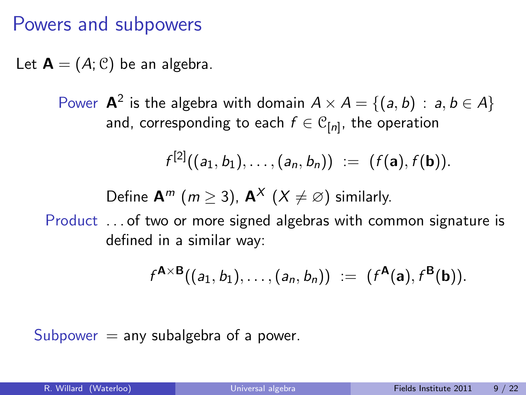### Powers and subpowers

Let  $\mathbf{A} = (A; \mathcal{C})$  be an algebra.

Power **A**<sup>2</sup> is the algebra with domain  $A \times A = \{(a, b) : a, b \in A\}$ and, corresponding to each  $f\in\mathcal{C}_{[n]}$ , the operation

$$
f^{[2]}((a_1,b_1),\ldots,(a_n,b_n)) := (f(\mathbf{a}),f(\mathbf{b})).
$$

Define  $\mathbf{A}^m$  ( $m > 3$ ),  $\mathbf{A}^X$  ( $X \neq \emptyset$ ) similarly.

Product . . . of two or more signed algebras with common signature is defined in a similar way:

$$
f^{A\times B}((a_1,b_1),\ldots,(a_n,b_n)) := (f^{A}(a),f^{B}(b)).
$$

Subpower  $=$  any subalgebra of a power.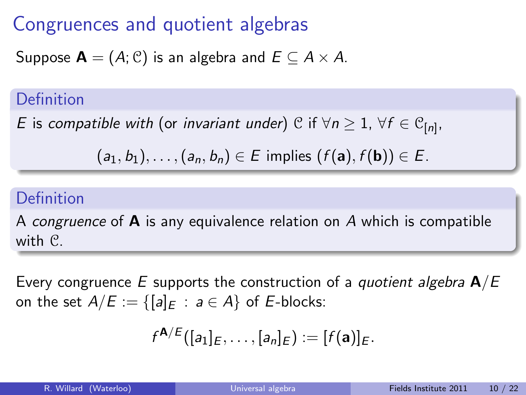## Congruences and quotient algebras

Suppose  $\mathbf{A} = (A; \mathcal{C})$  is an algebra and  $E \subset A \times A$ .

#### Definition

 $E$  is *compatible with* (or *invariant under*)  $\mathcal{C}$  if  $\forall n \geq 1, \ \forall f \in \mathcal{C}_{[n]} ,$ 

$$
(a_1, b_1), \ldots, (a_n, b_n) \in E \text{ implies } (f(\mathbf{a}), f(\mathbf{b})) \in E.
$$

### Definition

A congruence of  $\bf{A}$  is any equivalence relation on A which is compatible with C.

Every congruence E supports the construction of a *quotient algebra*  $\mathbf{A}/E$ on the set  $A/E := \{ [a]_E : a \in A \}$  of E-blocks:

$$
f^{\mathbf{A}/E}([a_1]_E,\ldots,[a_n]_E):=[f(\mathbf{a})]_E.
$$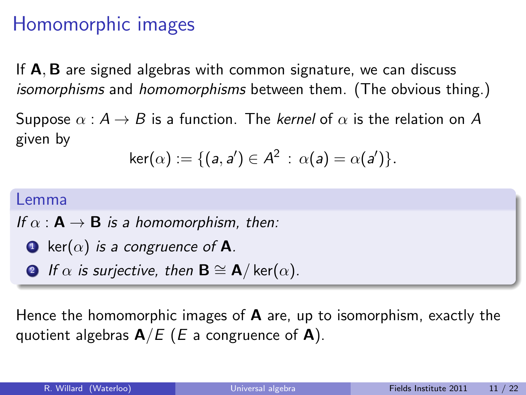## Homomorphic images

If **A**, **B** are signed algebras with common signature, we can discuss isomorphisms and homomorphisms between them. (The obvious thing.)

Suppose  $\alpha : A \rightarrow B$  is a function. The kernel of  $\alpha$  is the relation on A given by

$$
\mathsf{ker}(\alpha) := \{ (a,a') \in A^2 \,:\, \alpha(a) = \alpha(a') \}.
$$

#### Lemma

If  $\alpha : \mathbf{A} \to \mathbf{B}$  is a homomorphism, then:

- **1** ker( $\alpha$ ) is a congruence of **A**.
- **2** If  $\alpha$  is surjective, then  $\mathbf{B} \cong \mathbf{A}/\ker(\alpha)$ .

Hence the homomorphic images of  $\bf{A}$  are, up to isomorphism, exactly the quotient algebras  $\mathbf{A}/E$  (*E* a congruence of **A**).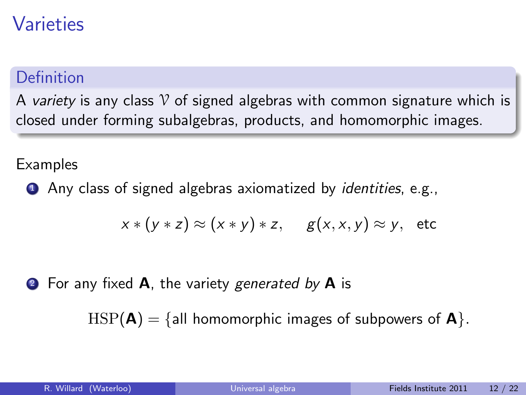## Varieties

### Definition

A variety is any class  $\gamma$  of signed algebras with common signature which is closed under forming subalgebras, products, and homomorphic images.

Examples

**1** Any class of signed algebras axiomatized by *identities*, e.g.,

$$
x * (y * z) \approx (x * y) * z, \quad g(x, x, y) \approx y, \text{ etc}
$$

**2** For any fixed **A**, the variety generated by **A** is

 $HSP(A) = \{all \text{ homomorphic images of subpowers of } A\}.$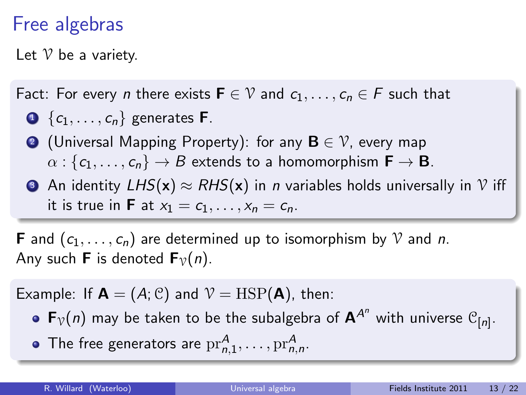## Free algebras

Let  $\mathcal V$  be a variety.

#### Fact: For every *n* there exists  $F \in \mathcal{V}$  and  $c_1, \ldots, c_n \in F$  such that

- $\bigodot \{c_1, \ldots, c_n\}$  generates **F**.
- **●** (Universal Mapping Property): for any  $\mathbf{B} \in \mathcal{V}$ , every map  $\alpha : \{c_1, \ldots, c_n\} \to B$  extends to a homomorphism  $\mathbf{F} \to \mathbf{B}$ .
- **3** An identity  $LHS(\mathbf{x}) \approx RHS(\mathbf{x})$  in *n* variables holds universally in V iff it is true in **F** at  $x_1 = c_1, \ldots, x_n = c_n$ .

**F** and  $(c_1, \ldots, c_n)$  are determined up to isomorphism by V and n. Any such **F** is denoted  $\mathbf{F}_{\nu}(n)$ .

Example: If  $\mathbf{A} = (A; \mathcal{C})$  and  $\mathcal{V} = \text{HSP}(\mathbf{A})$ , then:

- ${\sf F}_\mathcal{V}(n)$  may be taken to be the subalgebra of  ${\sf A}^{A^n}$  with universe  ${\mathfrak C}_{[n]}.$
- The free generators are  $\mathrm{pr}_{n,1}^{A},\ldots,\mathrm{pr}_{n,n}^{A}.$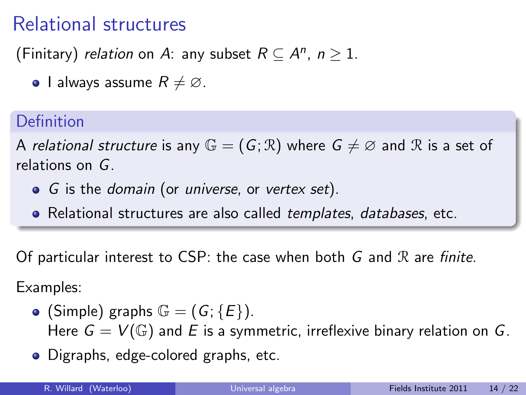## Relational structures

(Finitary) *relation* on A: any subset  $R \subseteq A^n$ ,  $n \geq 1$ .

**•** I always assume  $R \neq \emptyset$ .

### Definition

A relational structure is any  $\mathbb{G} = (G; \mathbb{R})$  where  $G \neq \emptyset$  and  $\mathbb R$  is a set of relations on G.

- G is the *domain* (or *universe*, or *vertex set*).
- Relational structures are also called templates, databases, etc.

Of particular interest to CSP: the case when both  $G$  and  $\Re$  are finite.

Examples:

- (Simple) graphs  $\mathbb{G} = (G; \{E\})$ . Here  $G = V(\mathbb{G})$  and E is a symmetric, irreflexive binary relation on G.
- Digraphs, edge-colored graphs, etc.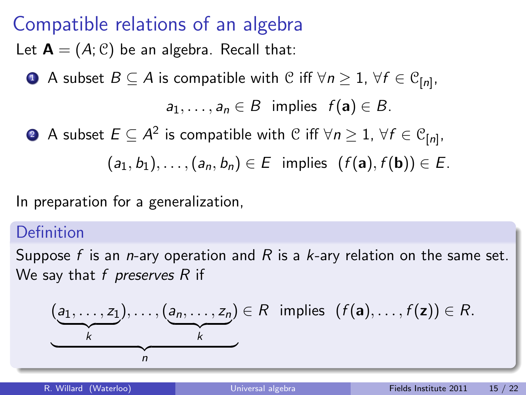## Compatible relations of an algebra

Let  $\mathbf{A} = (A, \mathcal{C})$  be an algebra. Recall that:

 $\bullet$  A subset  $B\subseteq A$  is compatible with  $\mathcal C$  iff  $\forall n\geq 1, \ \forall f\in \mathcal C_{[n]} ,$ 

 $a_1, \ldots, a_n \in B$  implies  $f(\mathbf{a}) \in B$ .

 $2\hspace{0.1cm}$  A subset  $E\subseteq A^2$  is compatible with  $\mathcal C$  iff  $\forall n\geq 1, \ \forall f\in \mathcal C_{[n]} ,$ 

 $(a_1, b_1), \ldots, (a_n, b_n) \in E$  implies  $(f(a), f(b)) \in E$ .

In preparation for a generalization,

#### Definition

Suppose f is an n-ary operation and R is a  $k$ -ary relation on the same set. We say that  $f$  preserves  $R$  if

$$
(\underbrace{a_1,\ldots,z_1}_{k}),\ldots,(\underbrace{a_n,\ldots,z_n}_{k})\in R \text{ implies } (f(\mathbf{a}),\ldots,f(\mathbf{z}))\in R.
$$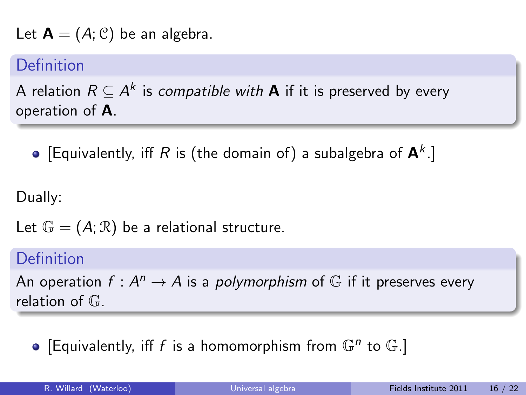Let  $\mathbf{A} = (A, \mathcal{C})$  be an algebra.

#### Definition

A relation  $R \subseteq A^k$  is *compatible with* **A** if it is preserved by every operation of A.

[Equivalently, iff R is (the domain of) a subalgebra of  $\mathsf{A}^k$ .]

Dually:

Let  $\mathbb{G} = (A; \mathbb{R})$  be a relational structure.

#### Definition

An operation  $f: A^n \to A$  is a *polymorphism* of  $\mathbb G$  if it preserves every relation of  $\mathbb{G}$ .

[Equivalently, iff f is a homomorphism from  $\mathbb{G}^n$  to  $\mathbb{G}$ .]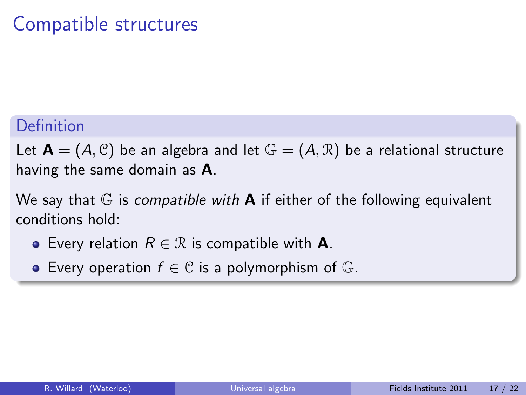## Compatible structures

#### Definition

Let  $\mathbf{A} = (A, \mathcal{C})$  be an algebra and let  $\mathbb{G} = (A, \mathcal{R})$  be a relational structure having the same domain as A.

We say that  $\mathbb G$  is *compatible with* **A** if either of the following equivalent conditions hold:

- **•** Every relation  $R \in \mathcal{R}$  is compatible with **A**.
- Every operation  $f \in \mathcal{C}$  is a polymorphism of  $\mathbb{G}$ .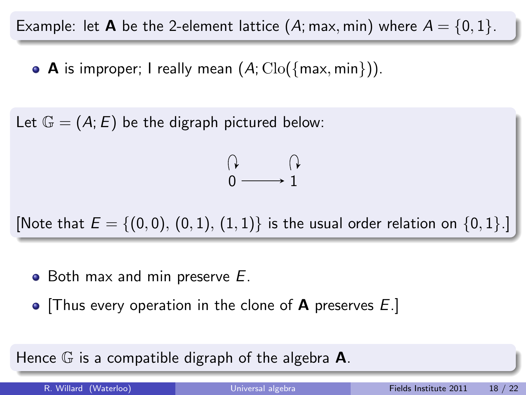Example: let **A** be the 2-element lattice (A; max, min) where  $A = \{0, 1\}$ .

• A is improper; I really mean  $(A; \text{Clo}(\{max, min\}))$ .

Let  $\mathbb{G} = (A; E)$  be the digraph pictured below:

$$
\begin{matrix}\n\uparrow & & \uparrow \\
0 & \longrightarrow 1\n\end{matrix}
$$

[Note that  $E = \{(0,0), (0,1), (1,1)\}$  is the usual order relation on  $\{0,1\}$ .]

- $\bullet$  Both max and min preserve  $E$ .
- Thus every operation in the clone of **A** preserves  $E$ .

Hence  $\mathbb G$  is a compatible digraph of the algebra  $\mathsf A$ .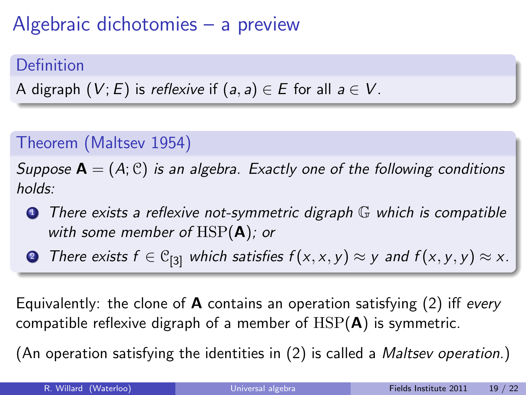# Algebraic dichotomies – a preview

### Definition

A digraph  $(V; E)$  is reflexive if  $(a, a) \in E$  for all  $a \in V$ .

### Theorem (Maltsev 1954)

Suppose  $A = (A; C)$  is an algebra. Exactly one of the following conditions holds:

**1** There exists a reflexive not-symmetric digraph  $\mathbb{G}$  which is compatible with some member of  $HSP(A)$ ; or

**2** There exists  $f \in \mathcal{C}_{[3]}$  which satisfies  $f(x, x, y) \approx y$  and  $f(x, y, y) \approx x$ .

Equivalently: the clone of **A** contains an operation satisfying  $(2)$  iff every compatible reflexive digraph of a member of  $HSP(A)$  is symmetric.

(An operation satisfying the identities in (2) is called a Maltsev operation.)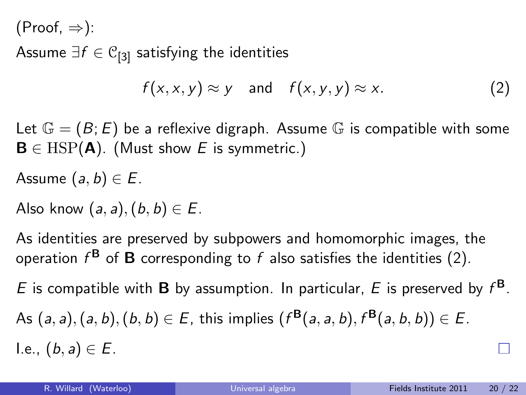$(Proof, \Rightarrow)$ :

Assume  $\exists f \in \mathcal{C}_{[3]}$  satisfying the identities

$$
f(x, x, y) \approx y \quad \text{and} \quad f(x, y, y) \approx x. \tag{2}
$$

Let  $\mathbb{G} = (B; E)$  be a reflexive digraph. Assume  $\mathbb{G}$  is compatible with some  $B \in \text{HSP}(\textbf{A})$ . (Must show E is symmetric.)

Assume  $(a, b) \in E$ .

Also know  $(a, a)$ ,  $(b, b) \in E$ .

As identities are preserved by subpowers and homomorphic images, the operation  $f^{\mathbf{B}}$  of  $\mathbf B$  corresponding to  $f$  also satisfies the identities (2).

E is compatible with **B** by assumption. In particular, E is preserved by  $f^{\mathbf{B}}$ . As  $(a, a), (a, b), (b, b) \in E$ , this implies  $(f^{B}(a, a, b), f^{B}(a, b, b)) \in E$ . I.e.,  $(b, a) \in E$ .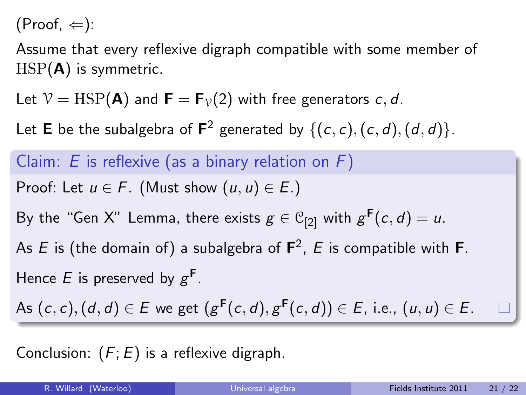$(Proof, \Leftarrow)$ :

Assume that every reflexive digraph compatible with some member of  $HSP(A)$  is symmetric.

Let  $V = \text{HSP}(\mathbf{A})$  and  $\mathbf{F} = \mathbf{F}_{\gamma}(2)$  with free generators c, d.

Let **E** be the subalgebra of  $\mathbf{F}^2$  generated by  $\{(c, c), (c, d), (d, d)\}.$ 

Claim:  $E$  is reflexive (as a binary relation on  $F$ ) Proof: Let  $u \in F$ . (Must show  $(u, u) \in E$ .) By the "Gen X" Lemma, there exists  $g\in\mathbb{C}_{[2]}$  with  $g^{\mathsf{F}}(c,d)=u.$ As E is (the domain of) a subalgebra of  $\mathsf{F}^2$ , E is compatible with  $\mathsf{F}.$ Hence E is preserved by  $g^F$ . As  $(c, c), (d, d) \in E$  we get  $(g^{\mathsf{F}}(c, d), g^{\mathsf{F}}(c, d)) \in E$ , i.e.,  $(u, u) \in E$ .

Conclusion:  $(F; E)$  is a reflexive digraph.

П